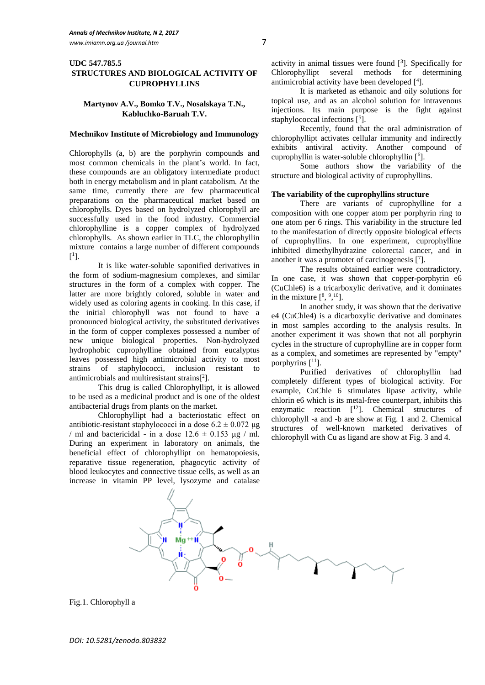# **UDC 547.785.5 STRUCTURES AND BIOLOGICAL ACTIVITY OF CUPROPHYLLINS**

# **Martynov A.V., Bomko T.V., Nosalskaya T.N., Kabluchko-Baruah T.V.**

#### **Mechnikov Institute of Microbiology and Immunology**

Chlorophylls (a, b) are the porphyrin compounds and most common chemicals in the plant's world. In fact, these compounds are an obligatory intermediate product both in energy metabolism and in plant catabolism. At the same time, currently there are few pharmaceutical preparations on the pharmaceutical market based on chlorophylls. Dyes based on hydrolyzed chlorophyll are successfully used in the food industry. Commercial chlorophylline is a copper complex of hydrolyzed chlorophylls. As shown earlier in TLC, the chlorophyllin mixture contains a large number of different compounds  $[$ <sup>1</sup>].

It is like water-soluble saponified derivatives in the form of sodium-magnesium complexes, and similar structures in the form of a complex with copper. The latter are more brightly colored, soluble in water and widely used as coloring agents in cooking. In this case, if the initial chlorophyll was not found to have a pronounced biological activity, the substituted derivatives in the form of copper complexes possessed a number of new unique biological properties. Non-hydrolyzed hydrophobic cuprophylline obtained from eucalyptus leaves possessed high antimicrobial activity to most strains of staphylococci, inclusion resistant to antimicrobials and multiresistant strains[ 2 ].

This drug is called Chlorophyllipt, it is allowed to be used as a medicinal product and is one of the oldest antibacterial drugs from plants on the market.

Chlorophyllipt had a bacteriostatic effect on antibiotic-resistant staphylococci in a dose  $6.2 \pm 0.072$  μg / ml and bactericidal - in a dose  $12.6 \pm 0.153 \mu$ g / ml. During an experiment in laboratory on animals, the beneficial effect of chlorophyllipt on hematopoiesis, reparative tissue regeneration, phagocytic activity of blood leukocytes and connective tissue cells, as well as an increase in vitamin PP level, lysozyme and catalase

activity in animal tissues were found [ 3 ]. Specifically for Chlorophyllipt several methods for determining antimicrobial activity have been developed  $[$ <sup>4</sup> $].$ 

It is marketed as ethanoic and oily solutions for topical use, and as an alcohol solution for intravenous injections. Its main purpose is the fight against staphylococcal infections [<sup>5</sup>].

Recently, found that the oral administration of chlorophyllipt activates cellular immunity and indirectly exhibits antiviral activity. Another compound of cuprophyllin is water-soluble chlorophyllin [<sup>6</sup>].

Some authors show the variability of the structure and biological activity of cuprophyllins.

## **The variability of the cuprophyllins structure**

There are variants of cuprophylline for a composition with one copper atom per porphyrin ring to one atom per 6 rings. This variability in the structure led to the manifestation of directly opposite biological effects of cuprophyllins. In one experiment, cuprophylline inhibited dimethylhydrazine colorectal cancer, and in another it was a promoter of carcinogenesis  $[7]$ .

The results obtained earlier were contradictory. In one case, it was shown that copper-porphyrin e6 (CuChle6) is a tricarboxylic derivative, and it dominates in the mixture  $[8, 9, 10]$ .

In another study, it was shown that the derivative e4 (CuChle4) is a dicarboxylic derivative and dominates in most samples according to the analysis results. In another experiment it was shown that not all porphyrin cycles in the structure of cuprophylline are in copper form as a complex, and sometimes are represented by "empty" porphyrins  $[11]$ .

Purified derivatives of chlorophyllin had completely different types of biological activity. For example, CuChle 6 stimulates lipase activity, while chlorin e6 which is its metal-free counterpart, inhibits this enzymatic reaction  $[12]$ . Chemical structures of chlorophyll -a and -b are show at Fig. 1 and 2. Chemical structures of well-known marketed derivatives of chlorophyll with Cu as ligand are show at Fig. 3 and 4.



Fig.1. Chlorophyll a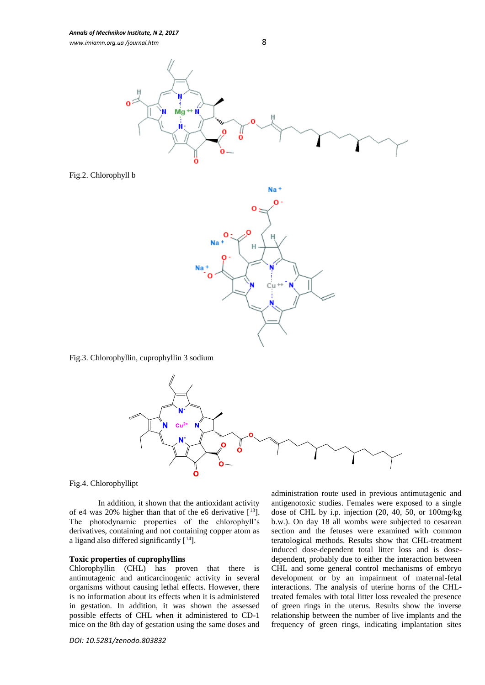

Fig.2. Chlorophyll b



Fig.3. Chlorophyllin, cuprophyllin 3 sodium



Fig.4. Chlorophyllipt

In addition, it shown that the antioxidant activity of e4 was 20% higher than that of the e6 derivative  $[13]$ . The photodynamic properties of the chlorophyll's derivatives, containing and not containing copper atom as a ligand also differed significantly  $[14]$ .

### **Toxic properties of cuprophyllins**

Chlorophyllin (CHL) has proven that there is antimutagenic and anticarcinogenic activity in several organisms without causing lethal effects. However, there is no information about its effects when it is administered in gestation. In addition, it was shown the assessed possible effects of CHL when it administered to CD-1 mice on the 8th day of gestation using the same doses and

*DOI: 10.5281/zenodo.803832*

administration route used in previous antimutagenic and antigenotoxic studies. Females were exposed to a single dose of CHL by i.p. injection (20, 40, 50, or 100mg/kg b.w.). On day 18 all wombs were subjected to cesarean section and the fetuses were examined with common teratological methods. Results show that CHL-treatment induced dose-dependent total litter loss and is dosedependent, probably due to either the interaction between CHL and some general control mechanisms of embryo development or by an impairment of maternal-fetal interactions. The analysis of uterine horns of the CHLtreated females with total litter loss revealed the presence of green rings in the uterus. Results show the inverse relationship between the number of live implants and the frequency of green rings, indicating implantation sites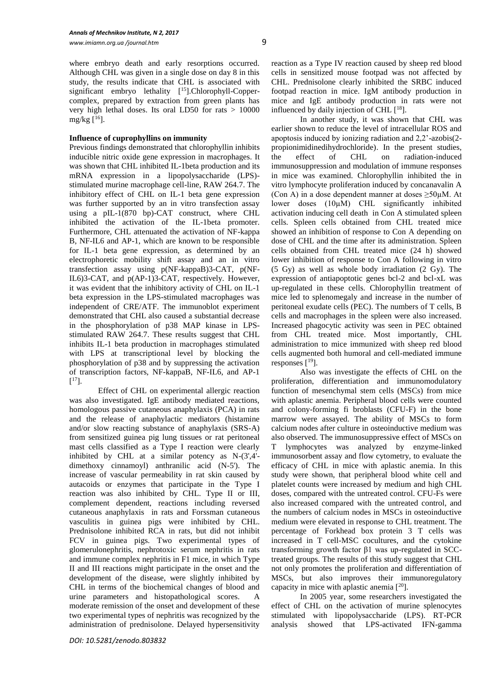where embryo death and early resorptions occurred. Although CHL was given in a single dose on day 8 in this study, the results indicate that CHL is associated with significant embryo lethality [<sup>15</sup>].Chlorophyll-Coppercomplex, prepared by extraction from green plants has very high lethal doses. Its oral LD50 for rats > 10000 mg/kg  $[16]$ .

## **Influence of cuprophyllins on immunity**

Previous findings demonstrated that chlorophyllin inhibits inducible nitric oxide gene expression in macrophages. It was shown that CHL inhibited IL-1beta production and its mRNA expression in a lipopolysaccharide (LPS) stimulated murine macrophage cell-line, RAW 264.7. The inhibitory effect of CHL on IL-1 beta gene expression was further supported by an in vitro transfection assay using a pIL-1(870 bp)-CAT construct, where CHL inhibited the activation of the IL-1beta promoter. Furthermore, CHL attenuated the activation of NF-kappa B, NF-IL6 and AP-1, which are known to be responsible for IL-1 beta gene expression, as determined by an electrophoretic mobility shift assay and an in vitro transfection assay using p(NF-kappaB)3-CAT, p(NF-IL6)3-CAT, and p(AP-1)3-CAT, respectively. However, it was evident that the inhibitory activity of CHL on IL-1 beta expression in the LPS-stimulated macrophages was independent of CRE/ATF. The immunoblot experiment demonstrated that CHL also caused a substantial decrease in the phosphorylation of p38 MAP kinase in LPSstimulated RAW 264.7. These results suggest that CHL inhibits IL-1 beta production in macrophages stimulated with LPS at transcriptional level by blocking the phosphorylation of p38 and by suppressing the activation of transcription factors, NF-kappaB, NF-IL6, and AP-1  $[$ <sup>17</sup>].

Effect of CHL on experimental allergic reaction was also investigated. IgE antibody mediated reactions, homologous passive cutaneous anaphylaxis (PCA) in rats and the release of anaphylactic mediators (histamine and/or slow reacting substance of anaphylaxis (SRS-A) from sensitized guinea pig lung tissues or rat peritoneal mast cells classified as a Type I reaction were clearly inhibited by CHL at a similar potency as N-(3',4' dimethoxy cinnamoyl) anthranilic acid (N-5'). The increase of vascular permeability in rat skin caused by autacoids or enzymes that participate in the Type I reaction was also inhibited by CHL. Type II or III, complement dependent, reactions including reversed cutaneous anaphylaxis in rats and Forssman cutaneous vasculitis in guinea pigs were inhibited by CHL. Prednisolone inhibited RCA in rats, but did not inhibit FCV in guinea pigs. Two experimental types of glomerulonephritis, nephrotoxic serum nephritis in rats and immune complex nephritis in F1 mice, in which Type II and III reactions might participate in the onset and the development of the disease, were slightly inhibited by CHL in terms of the biochemical changes of blood and urine parameters and histopathological scores. A moderate remission of the onset and development of these two experimental types of nephritis was recognized by the administration of prednisolone. Delayed hypersensitivity

reaction as a Type IV reaction caused by sheep red blood cells in sensitized mouse footpad was not affected by CHL. Prednisolone clearly inhibited the SRBC induced footpad reaction in mice. IgM antibody production in mice and IgE antibody production in rats were not influenced by daily injection of CHL [<sup>18</sup>].

In another study, it was shown that CHL was earlier shown to reduce the level of intracellular ROS and apoptosis induced by ionizing radiation and 2,2'-azobis(2 propionimidinedihydrochloride). In the present studies, the effect of CHL on radiation-induced immunosuppression and modulation of immune responses in mice was examined. Chlorophyllin inhibited the in vitro lymphocyte proliferation induced by concanavalin A (Con A) in a dose dependent manner at doses  $\geq$ 50 $\mu$ M. At lower doses (10µM) CHL significantly inhibited activation inducing cell death in Con A stimulated spleen cells. Spleen cells obtained from CHL treated mice showed an inhibition of response to Con A depending on dose of CHL and the time after its administration. Spleen cells obtained from CHL treated mice (24 h) showed lower inhibition of response to Con A following in vitro (5 Gy) as well as whole body irradiation (2 Gy). The expression of antiapoptotic genes bcl-2 and bcl-xL was up-regulated in these cells. Chlorophyllin treatment of mice led to splenomegaly and increase in the number of peritoneal exudate cells (PEC). The numbers of T cells, B cells and macrophages in the spleen were also increased. Increased phagocytic activity was seen in PEC obtained from CHL treated mice. Most importantly, CHL administration to mice immunized with sheep red blood cells augmented both humoral and cell-mediated immune responses  $[19]$ .

Also was investigate the effects of CHL on the proliferation, differentiation and immunomodulatory function of mesenchymal stem cells (MSCs) from mice with aplastic anemia. Peripheral blood cells were counted and colony-forming fi broblasts (CFU-F) in the bone marrow were assayed. The ability of MSCs to form calcium nodes after culture in osteoinductive medium was also observed. The immunosuppressive effect of MSCs on T lymphocytes was analyzed by enzyme-linked immunosorbent assay and flow cytometry, to evaluate the efficacy of CHL in mice with aplastic anemia. In this study were shown, that peripheral blood white cell and platelet counts were increased by medium and high CHL doses, compared with the untreated control. CFU-Fs were also increased compared with the untreated control, and the numbers of calcium nodes in MSCs in osteoinductive medium were elevated in response to CHL treatment. The percentage of Forkhead box protein 3 T cells was increased in T cell-MSC cocultures, and the cytokine transforming growth factor β1 was up-regulated in SCCtreated groups. The results of this study suggest that CHL not only promotes the proliferation and differentiation of MSCs, but also improves their immunoregulatory capacity in mice with aplastic anemia  $[20]$ .

In 2005 year, some researchers investigated the effect of CHL on the activation of murine splenocytes stimulated with lipopolysaccharide (LPS). RT-PCR analysis showed that LPS-activated IFN-gamma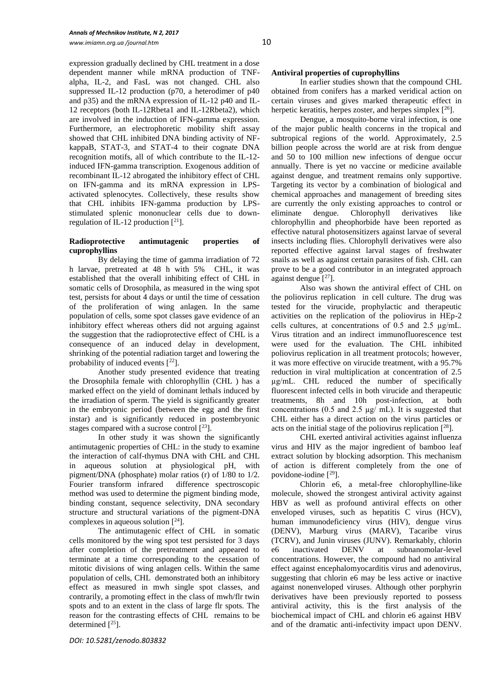expression gradually declined by CHL treatment in a dose dependent manner while mRNA production of TNFalpha, IL-2, and FasL was not changed. CHL also suppressed IL-12 production (p70, a heterodimer of p40 and p35) and the mRNA expression of IL-12 p40 and IL-12 receptors (both IL-12Rbeta1 and IL-12Rbeta2), which are involved in the induction of IFN-gamma expression. Furthermore, an electrophoretic mobility shift assay showed that CHL inhibited DNA binding activity of NFkappaB, STAT-3, and STAT-4 to their cognate DNA recognition motifs, all of which contribute to the IL-12 induced IFN-gamma transcription. Exogenous addition of recombinant IL-12 abrogated the inhibitory effect of CHL on IFN-gamma and its mRNA expression in LPSactivated splenocytes. Collectively, these results show that CHL inhibits IFN-gamma production by LPSstimulated splenic mononuclear cells due to downregulation of IL-12 production  $[2^1]$ .

### **Radioprotective antimutagenic properties of cuprophyllins**

By delaying the time of gamma irradiation of 72 h larvae, pretreated at 48 h with 5% CHL, it was established that the overall inhibiting effect of CHL in somatic cells of Drosophila, as measured in the wing spot test, persists for about 4 days or until the time of cessation of the proliferation of wing anlagen. In the same population of cells, some spot classes gave evidence of an inhibitory effect whereas others did not arguing against the suggestion that the radioprotective effect of CHL is a consequence of an induced delay in development, shrinking of the potential radiation target and lowering the probability of induced events  $[2^2]$ .

Another study presented evidence that treating the Drosophila female with chlorophyllin (CHL ) has a marked effect on the yield of dominant lethals induced by the irradiation of sperm. The yield is significantly greater in the embryonic period (between the egg and the first instar) and is significantly reduced in postembryonic stages compared with a sucrose control  $\lceil^{23}\rceil$ .

In other study it was shown the significantly antimutagenic properties of CHL: in the study to examine the interaction of calf-thymus DNA with CHL and CHL in aqueous solution at physiological pH, with pigment/DNA (phosphate) molar ratios (r) of 1/80 to 1/2. Fourier transform infrared difference spectroscopic method was used to determine the pigment binding mode, binding constant, sequence selectivity, DNA secondary structure and structural variations of the pigment-DNA complexes in aqueous solution  $[<sup>24</sup>]$ .

The antimutagenic effect of CHL in somatic cells monitored by the wing spot test persisted for 3 days after completion of the pretreatment and appeared to terminate at a time corresponding to the cessation of mitotic divisions of wing anlagen cells. Within the same population of cells, CHL demonstrated both an inhibitory effect as measured in mwh single spot classes, and contrarily, a promoting effect in the class of mwh/flr twin spots and to an extent in the class of large flr spots. The reason for the contrasting effects of CHL remains to be determined  $[{}^{25}$ ].

# **Antiviral properties of cuprophyllins**

In earlier studies shown that the compound CHL obtained from conifers has a marked veridical action on certain viruses and gives marked therapeutic effect in herpetic keratitis, herpes zoster, and herpes simplex  $[26]$ .

Dengue, a mosquito-borne viral infection, is one of the major public health concerns in the tropical and subtropical regions of the world. Approximately, 2.5 billion people across the world are at risk from dengue and 50 to 100 million new infections of dengue occur annually. There is yet no vaccine or medicine available against dengue, and treatment remains only supportive. Targeting its vector by a combination of biological and chemical approaches and management of breeding sites are currently the only existing approaches to control or eliminate dengue. Chlorophyll derivatives like chlorophyllin and pheophorbide have been reported as effective natural photosensitizers against larvae of several insects including flies. Chlorophyll derivatives were also reported effective against larval stages of freshwater snails as well as against certain parasites of fish. CHL can prove to be a good contributor in an integrated approach against dengue  $[27]$ .

Also was shown the antiviral effect of CHL on the poliovirus replication in cell culture. The drug was tested for the virucide, prophylactic and therapeutic activities on the replication of the poliovirus in HEp-2 cells cultures, at concentrations of 0.5 and 2.5 µg/mL. Virus titration and an indirect immunofluorescence test were used for the evaluation. The CHL inhibited poliovirus replication in all treatment protocols; however, it was more effective on virucide treatment, with a 95.7% reduction in viral multiplication at concentration of 2.5 µg/mL. CHL reduced the number of specifically fluorescent infected cells in both virucide and therapeutic treatments, 8h and 10h post-infection, at both concentrations (0.5 and 2.5 µg/ mL). It is suggested that CHL either has a direct action on the virus particles or acts on the initial stage of the poliovirus replication  $[28]$ .

CHL exerted antiviral activities against influenza virus and HIV as the major ingredient of bamboo leaf extract solution by blocking adsorption. This mechanism of action is different completely from the one of povidone-iodine [ <sup>29</sup>].

Chlorin e6, a metal-free chlorophylline-like molecule, showed the strongest antiviral activity against HBV as well as profound antiviral effects on other enveloped viruses, such as hepatitis C virus (HCV), human immunodeficiency virus (HIV), dengue virus (DENV), Marburg virus (MARV), Tacaribe virus (TCRV), and Junin viruses (JUNV). Remarkably, chlorin e6 inactivated DENV at subnanomolar-level concentrations. However, the compound had no antiviral effect against encephalomyocarditis virus and adenovirus, suggesting that chlorin e6 may be less active or inactive against nonenveloped viruses. Although other porphyrin derivatives have been previously reported to possess antiviral activity, this is the first analysis of the biochemical impact of CHL and chlorin e6 against HBV and of the dramatic anti-infectivity impact upon DENV.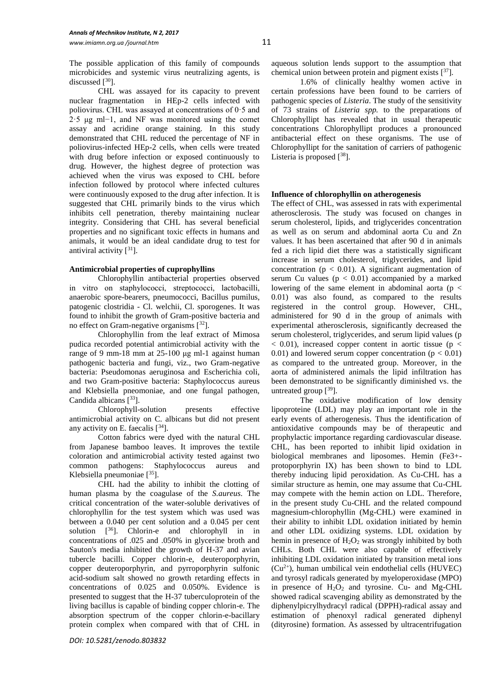The possible application of this family of compounds microbicides and systemic virus neutralizing agents, is discussed  $[$ <sup>30</sup> $].$ 

CHL was assayed for its capacity to prevent nuclear fragmentation in HEp-2 cells infected with poliovirus. CHL was assayed at concentrations of 0·5 and 2·5 μg ml−1, and NF was monitored using the comet assay and acridine orange staining. In this study demonstrated that CHL reduced the percentage of NF in poliovirus-infected HEp-2 cells, when cells were treated with drug before infection or exposed continuously to drug. However, the highest degree of protection was achieved when the virus was exposed to CHL before infection followed by protocol where infected cultures were continuously exposed to the drug after infection. It is suggested that CHL primarily binds to the virus which inhibits cell penetration, thereby maintaining nuclear integrity. Considering that CHL has several beneficial properties and no significant toxic effects in humans and animals, it would be an ideal candidate drug to test for antiviral activity  $\lceil 31 \rceil$ .

# **Antimicrobial properties of cuprophyllins**

Chlorophyllin antibacterial properties observed in vitro оn staphylococci, streptococci, lactobacilli, anaerobic spore-bearers, pneumococci, Bacillus pumilus, patogenic clostridia - Cl. welchii, Cl. sporogenes. It was found to inhibit the growth of Gram-positive bacteria and no effect on Gram-negative organisms [<sup>32</sup>].

Chlorophyllin from the leaf extract of Mimosa pudica recorded potential antimicrobial activity with the range of 9 mm-18 mm at 25-100 μg ml-1 against human pathogenic bacteria and fungi, viz., two Gram-negative bacteria: Pseudomonas aeruginosa and Escherichia coli, and two Gram-positive bacteria: Staphylococcus aureus and Klebsiella pneomoniae, and one fungal pathogen, Candida albicans  $[33]$ .

Chlorophyll-solution presents effective antimicrobial activity on C. albicans but did not present any activity on E. faecalis  $[34]$ .

Cotton fabrics were dyed with the natural CHL from Japanese bamboo leaves. It improves the textile coloration and antimicrobial activity tested against two common pathogens: Staphylococcus aureus and Klebsiella pneumoniae [ <sup>35</sup>].

CHL had the ability to inhibit the clotting of human plasma by the coagulase of the *S.aureus*. The critical concentration of the water-soluble derivatives of chlorophyllin for the test system which was used was between a 0.040 per cent solution and a 0.045 per cent solution [36]. Chlorin-e and chlorophyll in in concentrations of .025 and .050% in glycerine broth and Sauton's media inhibited the growth of H-37 and avian tubercle bacilli. Copper chlorin-e, deuteroporphyrin, copper deuteroporphyrin, and pyrroporphyrin sulfonic acid-sodium salt showed no growth retarding effects in concentrations of 0.025 and 0.050%. Evidence is presented to suggest that the H-37 tuberculoprotein of the living bacillus is capable of binding copper chlorin-e. The absorption spectrum of the copper chlorin-e-bacillary protein complex when compared with that of CHL in

aqueous solution lends support to the assumption that chemical union between protein and pigment exists [ <sup>37</sup>].

1.6% of clinically healthy women active in certain professions have been found to be carriers of pathogenic species of *Listeria*. The study of the sensitivity of 73 strains of *Listeria spp.* to the preparations of Chlorophyllipt has revealed that in usual therapeutic concentrations Chlorophyllipt produces a pronounced antibacterial effect on these organisms. The use of Chlorophyllipt for the sanitation of carriers of pathogenic Listeria is proposed  $[38]$ .

## **Influence of chlorophyllin on atherogenesis**

The effect of CHL, was assessed in rats with experimental atherosclerosis. The study was focused on changes in serum cholesterol, lipids, and triglycerides concentration as well as on serum and abdominal aorta Cu and Zn values. It has been ascertained that after 90 d in animals fed a rich lipid diet there was a statistically significant increase in serum cholesterol, triglycerides, and lipid concentration ( $p < 0.01$ ). A significant augmentation of serum Cu values ( $p < 0.01$ ) accompanied by a marked lowering of the same element in abdominal aorta ( $p <$ 0.01) was also found, as compared to the results registered in the control group. However, CHL, administered for 90 d in the group of animals with experimental atherosclerosis, significantly decreased the serum cholesterol, triglycerides, and serum lipid values (p  $< 0.01$ ), increased copper content in aortic tissue (p  $<$ 0.01) and lowered serum copper concentration  $(p < 0.01)$ as compared to the untreated group. Moreover, in the aorta of administered animals the lipid infiltration has been demonstrated to be significantly diminished vs. the untreated group  $[39]$ .

The oxidative modification of low density lipoproteine (LDL) may play an important role in the early events of atherogenesis. Thus the identification of antioxidative compounds may be of therapeutic and prophylactic importance regarding cardiovascular disease. CHL, has been reported to inhibit lipid oxidation in biological membranes and liposomes. Hemin (Fe3+ protoporphyrin IX) has been shown to bind to LDL thereby inducing lipid peroxidation. As Cu-CHL has a similar structure as hemin, one may assume that Cu-CHL may compete with the hemin action on LDL. Therefore, in the present study Cu-CHL and the related compound magnesium-chlorophyllin (Mg-CHL) were examined in their ability to inhibit LDL oxidation initiated by hemin and other LDL oxidizing systems. LDL oxidation by hemin in presence of  $H_2O_2$  was strongly inhibited by both CHLs. Both CHL were also capable of effectively inhibiting LDL oxidation initiated by transition metal ions  $(Cu^{2+})$ , human umbilical vein endothelial cells (HUVEC) and tyrosyl radicals generated by myeloperoxidase (MPO) in presence of  $H_2O_2$  and tyrosine. Cu- and Mg-CHL showed radical scavenging ability as demonstrated by the diphenylpicrylhydracyl radical (DPPH)-radical assay and estimation of phenoxyl radical generated diphenyl (dityrosine) formation. As assessed by ultracentrifugation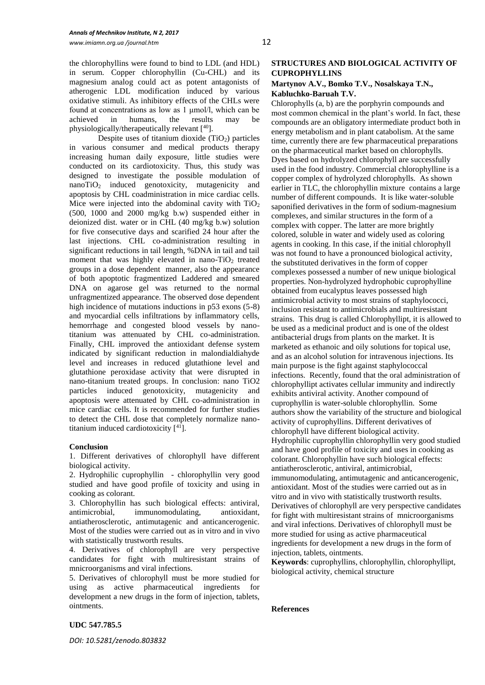the chlorophyllins were found to bind to LDL (and HDL) in serum. Copper chlorophyllin (Cu-CHL) and its magnesium analog could act as potent antagonists of atherogenic LDL modification induced by various oxidative stimuli. As inhibitory effects of the CHLs were found at concentrations as low as 1 μmol/l, which can be achieved in humans, the results may be physiologically/therapeutically relevant [<sup>40</sup>].

Despite uses of titanium dioxide  $(TiO<sub>2</sub>)$  particles in various consumer and medical products therapy increasing human daily exposure, little studies were conducted on its cardiotoxicity. Thus, this study was designed to investigate the possible modulation of nanoTiO<sup>2</sup> induced genotoxicity, mutagenicity and apoptosis by CHL coadministration in mice cardiac cells. Mice were injected into the abdominal cavity with  $TiO<sub>2</sub>$ (500, 1000 and 2000 mg/kg b.w) suspended either in deionized dist. water or in CHL (40 mg/kg b.w) solution for five consecutive days and scarified 24 hour after the last injections. CHL co-administration resulting in significant reductions in tail length, %DNA in tail and tail moment that was highly elevated in nano- $TiO<sub>2</sub>$  treated groups in a dose dependent manner, also the appearance of both apoptotic fragmentized Laddered and smeared DNA on agarose gel was returned to the normal unfragmentized appearance. The observed dose dependent high incidence of mutations inductions in p53 exons (5-8) and myocardial cells infiltrations by inflammatory cells, hemorrhage and congested blood vessels by nanotitanium was attenuated by CHL co-administration. Finally, CHL improved the antioxidant defense system indicated by significant reduction in malondialdiahyde level and increases in reduced glutathione level and glutathione peroxidase activity that were disrupted in nano-titanium treated groups. In conclusion: nano TiO2 particles induced genotoxicity, mutagenicity and apoptosis were attenuated by CHL co-administration in mice cardiac cells. It is recommended for further studies to detect the CHL dose that completely normalize nanotitanium induced cardiotoxicity  $[41]$ .

#### **Conclusion**

1. Different derivatives of chlorophyll have different biological activity.

2. Hydrophilic cuprophyllin - chlorophyllin very good studied and have good profile of toxicity and using in cooking as colorant.

3. Chlorophyllin has such biological effects: antiviral, antimicrobial, immunomodulating, antioxidant, antiatherosclerotic, antimutagenic and anticancerogenic. Most of the studies were carried out as in vitro and in vivo with statistically trustworth results.

4. Derivatives of chlorophyll are very perspective candidates for fight with multiresistant strains of mnicroorganisms and viral infections.

5. Derivatives of chlorophyll must be more studied for using as active pharmaceutical ingredients for development a new drugs in the form of injection, tablets, ointments.

# **STRUCTURES AND BIOLOGICAL ACTIVITY OF CUPROPHYLLINS**

# **Martynov A.V., Bomko T.V., Nosalskaya T.N., Kabluchko-Baruah T.V.**

Chlorophylls (a, b) are the porphyrin compounds and most common chemical in the plant's world. In fact, these compounds are an obligatory intermediate product both in energy metabolism and in plant catabolism. At the same time, currently there are few pharmaceutical preparations on the pharmaceutical market based on chlorophylls. Dyes based on hydrolyzed chlorophyll are successfully used in the food industry. Commercial chlorophylline is a copper complex of hydrolyzed chlorophylls. As shown earlier in TLC, the chlorophyllin mixture contains a large number of different compounds. It is like water-soluble saponified derivatives in the form of sodium-magnesium complexes, and similar structures in the form of a complex with copper. The latter are more brightly colored, soluble in water and widely used as coloring agents in cooking. In this case, if the initial chlorophyll was not found to have a pronounced biological activity, the substituted derivatives in the form of copper complexes possessed a number of new unique biological properties. Non-hydrolyzed hydrophobic cuprophylline obtained from eucalyptus leaves possessed high antimicrobial activity to most strains of staphylococci, inclusion resistant to antimicrobials and multiresistant strains. This drug is called Chlorophyllipt, it is allowed to be used as a medicinal product and is one of the oldest antibacterial drugs from plants on the market. It is marketed as ethanoic and oily solutions for topical use, and as an alcohol solution for intravenous injections. Its main purpose is the fight against staphylococcal infections. Recently, found that the oral administration of chlorophyllipt activates cellular immunity and indirectly exhibits antiviral activity. Another compound of cuprophyllin is water-soluble chlorophyllin. Some authors show the variability of the structure and biological activity of cuprophyllins. Different derivatives of chlorophyll have different biological activity. Hydrophilic cuprophyllin chlorophyllin very good studied and have good profile of toxicity and uses in cooking as colorant. Chlorophyllin have such biological effects: antiatherosclerotic, antiviral, antimicrobial, immunomodulating, antimutagenic and anticancerogenic, antioxidant. Most of the studies were carried out as in vitro and in vivo with statistically trustworth results. Derivatives of chlorophyll are very perspective candidates for fight with multiresistant strains of mnicroorganisms and viral infections. Derivatives of chlorophyll must be more studied for using as active pharmaceutical ingredients for development a new drugs in the form of injection, tablets, ointments.

**Keywords**: cuprophyllins, chlorophyllin, chlorophyllipt, biological activity, chemical structure

#### **References**

**UDC 547.785.5**

*DOI: 10.5281/zenodo.803832*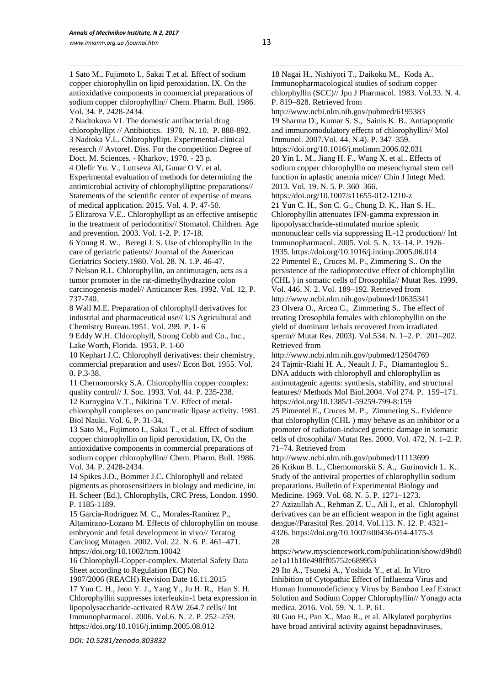1 1 Sato M., Fujimoto I., Sakai T.et al. Effect of sodium copper chiorophyllin on lipid peroxidation. IX. On the antioxidative components in commercial preparations of sodium copper chlorophyllin// Chem. Pharm. Bull. 1986. Vol. 34. P. 2428-2434.

2 Nadtokova VL The domestic antibacterial drug chlorophyllipt // Antibiotics. 1970. N. 10. P. 888-892. 3 Nadtoka V.L. Chlorophyllipt. Experimental-clinical research // Avtoref. Diss. For the competition Degree of Doct. M. Sciences. - Kharkov, 1970. - 23 p.

4 Olefir Yu. V., Luttseva AI, Gunar O V. et al. Experimental evaluation of methods for determining the antimicrobial activity of chlorophylliptine preparations// Statements of the scientific center of expertise of means of medical application. 2015. Vol. 4. P. 47-50.

5 Elizarova V.E.. Chlorophyllipt as an effective antiseptic in the treatment of periodontitis// Stomatol. Children. Age and prevention. 2003. Vol. 1-2. P. 17-18.

6 Young R. W., Beregi J. S. Use of chlorophyllin in the care of geriatric patients// Journal of the American Geriatrics Society.1980. Vol. 28. N. 1.P. 46-47.

7 Nelson R.L. Chlorophyllin, an antimutagen, acts as a tumor promoter in the rat-dimethylhydrazine colon carcinogenesis model// Anticancer Res. 1992. Vol. 12. P. 737-740.

8 Wall M.E. Preparation of chlorophyll derivatives for industrial and pharmaceutical use// US Agricultural and Chemistry Bureau.1951. Vol. 299. P. 1- 6

9 Eddy W.H. Chlorophyll, Strong Cobb and Co., Inc., Lake Worth, Florida. 1953. P. 1-60

10 Kephart J.C. Chlorophyll derivatives: their chemistry, commercial preparation and uses// Econ Bot. 1955. Vol. 0. P.3-38.

11 Chernomorsky S.A. Chiorophyllin copper complex: quality control// J. Soc. 1993. Vol. 44. P. 235-238.

12 Kurnygina V.T., Nikitina T.V. Effect of metalchlorophyll complexes on pancreatic lipase activity. 1981. Biol Nauki. Vol. 6. P. 31-34.

13 Sato M., Fujimoto I., Sakai T., et al. Effect of sodium copper chiorophyllin on lipid peroxidation, IX, On the antioxidative components in commercial preparations of sodium copper chlorophyllin// Chem. Pharm. Bull. 1986. Vol. 34. P. 2428-2434.

14 Spikes J.D., Bommer J.C. Chlorophyll and related pigments as photosensitizers in biology and medicine, in: H. Scheer (Ed.), Chlorophylls, CRC Press, London. 1990. P. 1185-1189.

15 Garcia-Rodriguez M. C., Morales-Ramirez P., Altamirano-Lozano M. Effects of chlorophyllin on mouse embryonic and fetal development in vivo// Teratog Carcinog Mutagen. 2002. Vol. 22. N. 6. P. 461–471. https://doi.org/10.1002/tcm.10042

16 Chlorophyll-Copper-complex. Material Safety Data Sheet according to Regulation (EC) No.

1907/2006 (REACH) Revision Date 16.11.2015 17 Yun C. H., Jeon Y. J., Yang Y., Ju H. R., Han S. H. Chlorophyllin suppresses interleukin-1 beta expression in lipopolysaccharide-activated RAW 264.7 cells// Int Immunopharmacol. 2006. Vol.6. N. 2. P. 252–259. https://doi.org/10.1016/j.intimp.2005.08.012

*DOI: 10.5281/zenodo.803832*

1 18 Nagai H., Nishiyori T., Daikoku M., Koda A.. Immunopharmacological studies of sodium copper chlorphyllin (SCC)// Jpn J Pharmacol. 1983. Vol.33. N. 4. P. 819–828. Retrieved from http://www.ncbi.nlm.nih.gov/pubmed/6195383 19 Sharma D., Kumar S. S., Sainis K. B.. Antiapoptotic and immunomodulatory effects of chlorophyllin// Mol Immunol. 2007.Vol. 44. N.4). P. 347–359. https://doi.org/10.1016/j.molimm.2006.02.031 20 Yin L. M., Jiang H. F., Wang X. et al.. Effects of sodium copper chlorophyllin on mesenchymal stem cell function in aplastic anemia mice// Chin J Integr Med. 2013. Vol. 19. N. 5. P. 360–366. https://doi.org/10.1007/s11655-012-1210-z 21 Yun C. H., Son C. G., Chung D. K., Han S. H.. Chlorophyllin attenuates IFN-gamma expression in lipopolysaccharide-stimulated murine splenic mononuclear cells via suppressing IL-12 production// Int Immunopharmacol. 2005. Vol. 5. N. 13–14. P. 1926– 1935. https://doi.org/10.1016/j.intimp.2005.06.014 22 Pimentel E., Cruces M. P., Zimmering S.. On the persistence of the radioprotective effect of chlorophyllin (CHL ) in somatic cells of Drosophila// Mutat Res. 1999. Vol. 446. N. 2. Vol. 189–192. Retrieved from http://www.ncbi.nlm.nih.gov/pubmed/10635341 23 Olvera O., Arceo C., Zimmering S.. The effect of treating Drosophila females with chlorophyllin on the yield of dominant lethals recovered from irradiated sperm// Mutat Res. 2003). Vol.534. N. 1–2. P. 201–202. Retrieved from http://www.ncbi.nlm.nih.gov/pubmed/12504769 24 Tajmir-Riahi H. A., Neault J. F., Diamantoglou S.. DNA adducts with chlorophyll and chlorophyllin as antimutagenic agents: synthesis, stability, and structural features// Methods Mol Biol.2004. Vol 274. P. 159–171. https://doi.org/10.1385/1-59259-799-8:159 25 Pimentel E., Cruces M. P., Zimmering S.. Evidence that chlorophyllin (CHL ) may behave as an inhibitor or a promoter of radiation-induced genetic damage in somatic cells of drosophila// Mutat Res. 2000. Vol. 472, N. 1–2. P. 71–74. Retrieved from

http://www.ncbi.nlm.nih.gov/pubmed/11113699 26 Krikun B. L., Chernomorskii S. A., Gurinovich L. K.. Study of the antiviral properties of chlorophyllin sodium preparations. Bulletin of Experimental Biology and Medicine. 1969. Vol. 68. N. 5. P. 1271–1273.

27 Azizullah A., Rehman Z. U., Ali I., et al. Chlorophyll derivatives can be an efficient weapon in the fight against dengue//Parasitol Res. 2014. Vol.113. N. 12. P. 4321– 4326. https://doi.org/10.1007/s00436-014-4175-3 28

https://www.mysciencework.com/publication/show/d9bd0 ae1a11b10e498ff05752e689953

29 Ito A., Tsuneki A., Yoshida Y., et al. In Vitro Inhibition of Cytopathic Effect of Influenza Virus and Human Immunodeficiency Virus by Bamboo Leaf Extract Solution and Sodium Copper Chlorophyllin// Yonago acta medica. 2016. Vol. 59. N. 1. P. 61.

30 Guo H., Pan X., Mao R., et al. Alkylated porphyrins have broad antiviral activity against hepadnaviruses,